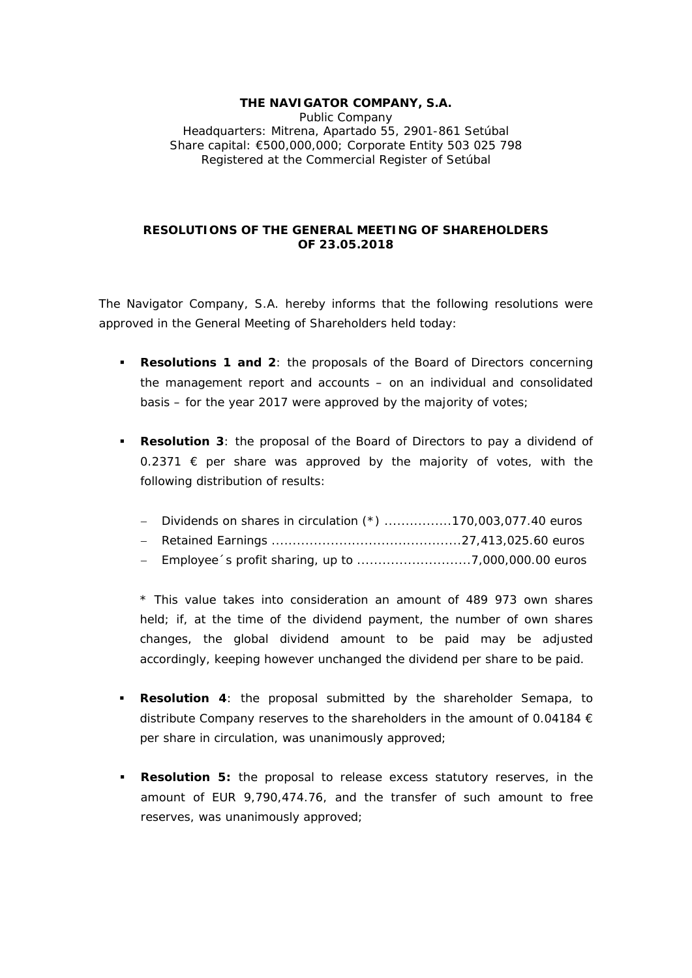## **THE NAVIGATOR COMPANY, S.A.**  Public Company Headquarters: Mitrena, Apartado 55, 2901-861 Setúbal Share capital: €500,000,000; Corporate Entity 503 025 798 Registered at the Commercial Register of Setúbal

## **RESOLUTIONS OF THE GENERAL MEETING OF SHAREHOLDERS OF 23.05.2018**

The Navigator Company, S.A. hereby informs that the following resolutions were approved in the General Meeting of Shareholders held today:

- **Resolutions 1 and 2**: the proposals of the Board of Directors concerning the management report and accounts – on an individual and consolidated basis – for the year 2017 were approved by the majority of votes;
- **Resolution 3**: the proposal of the Board of Directors to pay a dividend of 0.2371  $∈$  per share was approved by the majority of votes, with the following distribution of results:

|  |  |  | $-$ Dividends on shares in circulation $(*)$ 170,003,077.40 euros |
|--|--|--|-------------------------------------------------------------------|
|--|--|--|-------------------------------------------------------------------|

- Retained Earnings .............................................27,413,025.60 euros
- Employee´s profit sharing, up to ...........................7,000,000.00 euros

\* *This value takes into consideration an amount of 489 973 own shares held; if, at the time of the dividend payment, the number of own shares changes, the global dividend amount to be paid may be adjusted accordingly, keeping however unchanged the dividend per share to be paid*.

- **Resolution 4**: the proposal submitted by the shareholder Semapa, to distribute Company reserves to the shareholders in the amount of 0.04184  $\epsilon$ per share in circulation, was unanimously approved;
- **Resolution 5:** the proposal to release excess statutory reserves, in the amount of EUR 9,790,474.76, and the transfer of such amount to free reserves, was unanimously approved;